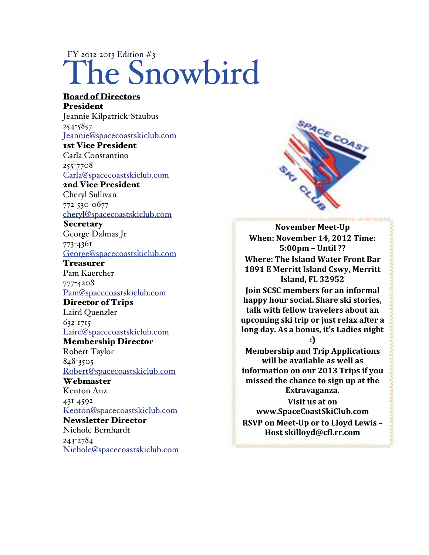# FY 2012-2013 Edition  $\#_3$ The Snowbird

#### Board of Directors President

Jeannie Kilpatrick-Staubus 254-5857 Jeannie@spacecoastskiclub.com 1st Vice President Carla Constantino 255-7708 Carla@spacecoastskiclub.com 2nd Vice President Cheryl Sullivan 772-530-0677 cheryl@spacecoastskiclub.com **Secretary** 

George Dalmas Jr 773-4361

George@spacecoastskiclub.com

#### Treasurer

Pam Kaercher 777-4208 Pam@spacecoastskiclub.com

Director of Trips Laird Quenzler

632-1715 Laird@spacecoastskiclub.com

#### Membership Director

Robert Taylor 848-3505 Robert@spacecoastskiclub.com

#### **Webmaster** Kenton Anz 431-4592

Kenton@spacecoastskiclub.com

Newsletter Director Nichole Bernhardt 243-2784 Nichole@spacecoastskiclub.com



**November Meet-Up When: November 14, 2012 Time: 5:00pm - Until ?? Where: The Island Water Front Bar 2020 E Merritt Island Cswy, Merritt Island, FL 32952 Keta Bloom SCSC members for an informal** happy hour social. Share ski stories,  $t$ alk with fellow travelers about an **N-OGGO EXECTS IN** Ski trip or just relax after a long day. As a bonus, it's Ladies night **1 Membership and Trip Applications will be available as well as information on our 2013 Trips if you missed the chance to sign up at the** Extravaganza. **Visit us at on**  $www.SpaceCoastSkiClub.com$ **RSVP on Meet-Up or to Lloyd Lewis -**

 $\textsf{Host}\;$ skillovd@cfl.rr.com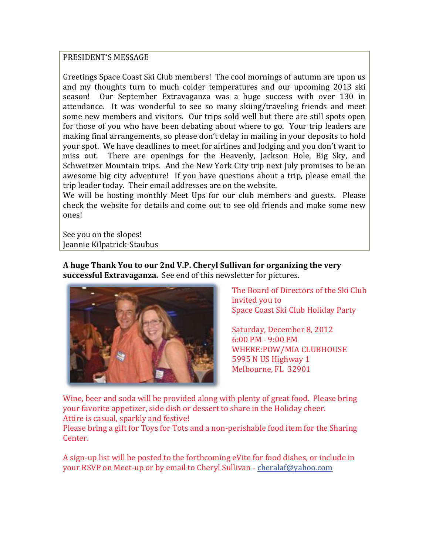#### PRESIDENT'S MESSAGE

Greetings Space Coast Ski Club members! The cool mornings of autumn are upon us and my thoughts turn to much colder temperatures and our upcoming 2013 ski season! Our September Extravaganza was a huge success with over 130 in attendance. It was wonderful to see so many skiing/traveling friends and meet some new members and visitors. Our trips sold well but there are still spots open for those of you who have been debating about where to go. Your trip leaders are making final arrangements, so please don't delay in mailing in your deposits to hold your spot. We have deadlines to meet for airlines and lodging and you don't want to miss out. There are openings for the Heavenly, Jackson Hole, Big Sky, and Schweitzer Mountain trips. And the New York City trip next July promises to be an awesome big city adventure! If you have questions about a trip, please email the trip leader today. Their email addresses are on the website.

We will be hosting monthly Meet Ups for our club members and guests. Please check the website for details and come out to see old friends and make some new ones!

See you on the slopes! Jeannie Kilpatrick-Staubus

#### A huge Thank You to our 2nd V.P. Cheryl Sullivan for organizing the very successful Extravaganza. See end of this newsletter for pictures.



The Board of Directors of the Ski Club invited you to Space Coast Ski Club Holiday Party

Saturday, December 8, 2012 6:00 PM - 9:00 PM WHERE:POW/MIA CLUBHOUSE 5995 N US Highway 1 Melbourne, FL 32901

Wine, beer and soda will be provided along with plenty of great food. Please bring your favorite appetizer, side dish or dessert to share in the Holiday cheer. Attire is casual, sparkly and festive!

Please bring a gift for Toys for Tots and a non-perishable food item for the Sharing Center.

A sign-up list will be posted to the forthcoming eVite for food dishes, or include in your RSVP on Meet-up or by email to Cheryl Sullivan - cheralaf@yahoo.com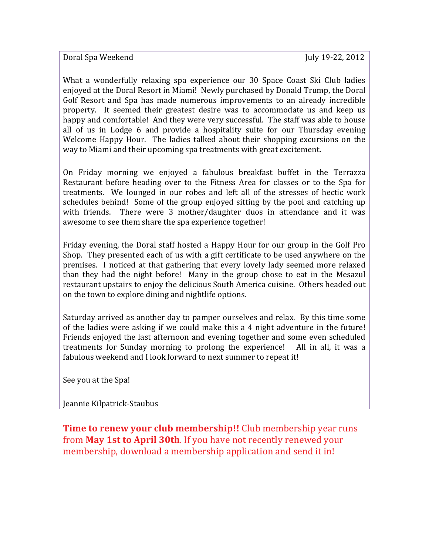Doral Spa Weekend

What a wonderfully relaxing spa experience our 30 Space Coast Ski Club ladies enjoyed at the Doral Resort in Miami! Newly purchased by Donald Trump, the Doral Golf Resort and Spa has made numerous improvements to an already incredible property. It seemed their greatest desire was to accommodate us and keep us happy and comfortable! And they were very successful. The staff was able to house all of us in Lodge 6 and provide a hospitality suite for our Thursday evening Welcome Happy Hour. The ladies talked about their shopping excursions on the way to Miami and their upcoming spa treatments with great excitement.

On Friday morning we enjoyed a fabulous breakfast buffet in the Terrazza Restaurant before heading over to the Fitness Area for classes or to the Spa for treatments. We lounged in our robes and left all of the stresses of hectic work schedules behind! Some of the group enjoyed sitting by the pool and catching up with friends. There were 3 mother/daughter duos in attendance and it was awesome to see them share the spa experience together!

Friday evening, the Doral staff hosted a Happy Hour for our group in the Golf Pro Shop. They presented each of us with a gift certificate to be used anywhere on the premises. I noticed at that gathering that every lovely lady seemed more relaxed than they had the night before! Many in the group chose to eat in the Mesazul restaurant upstairs to enjoy the delicious South America cuisine. Others headed out on the town to explore dining and nightlife options.

Saturday arrived as another day to pamper ourselves and relax. By this time some of the ladies were asking if we could make this a 4 night adventure in the future! Friends enjoyed the last afternoon and evening together and some even scheduled treatments for Sunday morning to prolong the experience! All in all, it was a fabulous weekend and I look forward to next summer to repeat it!

See you at the Spa!

Jeannie Kilpatrick-Staubus

Time to renew your club membership!! Club membership year runs from May 1st to April 30th. If you have not recently renewed your membership, download a membership application and send it in!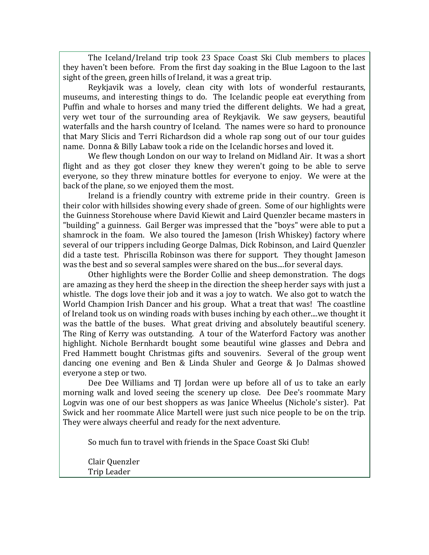The Iceland/Ireland trip took 23 Space Coast Ski Club members to places they haven't been before. From the first day soaking in the Blue Lagoon to the last sight of the green, green hills of Ireland, it was a great trip.

Reykjavik was a lovely, clean city with lots of wonderful restaurants, museums, and interesting things to do. The Icelandic people eat everything from Puffin and whale to horses and many tried the different delights. We had a great, very wet tour of the surrounding area of Reykjavik. We saw geysers, beautiful waterfalls and the harsh country of Iceland. The names were so hard to pronounce that Mary Slicis and Terri Richardson did a whole rap song out of our tour guides name. Donna & Billy Labaw took a ride on the Icelandic horses and loved it.

We flew though London on our way to Ireland on Midland Air. It was a short flight and as they got closer they knew they weren't going to be able to serve everyone, so they threw minature bottles for everyone to enjoy. We were at the back of the plane, so we enjoyed them the most.

Ireland is a friendly country with extreme pride in their country. Green is their color with hillsides showing every shade of green. Some of our highlights were the Guinness Storehouse where David Kiewit and Laird Quenzler became masters in "building" a guinness. Gail Berger was impressed that the "boys" were able to put a shamrock in the foam. We also toured the Jameson (Irish Whiskey) factory where several of our trippers including George Dalmas, Dick Robinson, and Laird Quenzler did a taste test. Phriscilla Robinson was there for support. They thought Jameson was the best and so several samples were shared on the bus....for several days.

Other highlights were the Border Collie and sheep demonstration. The dogs are amazing as they herd the sheep in the direction the sheep herder says with just a whistle. The dogs love their job and it was a joy to watch. We also got to watch the World Champion Irish Dancer and his group. What a treat that was! The coastline of Ireland took us on winding roads with buses inching by each other....we thought it was the battle of the buses. What great driving and absolutely beautiful scenery. The Ring of Kerry was outstanding. A tour of the Waterford Factory was another highlight. Nichole Bernhardt bought some beautiful wine glasses and Debra and Fred Hammett bought Christmas gifts and souvenirs. Several of the group went dancing one evening and Ben & Linda Shuler and George & Jo Dalmas showed everyone a step or two.

Dee Dee Williams and TJ Jordan were up before all of us to take an early morning walk and loved seeing the scenery up close. Dee Dee's roommate Mary Logvin was one of our best shoppers as was Janice Wheelus (Nichole's sister). Pat Swick and her roommate Alice Martell were just such nice people to be on the trip. They were always cheerful and ready for the next adventure.

So much fun to travel with friends in the Space Coast Ski Club!

Clair Quenzler Trip Leader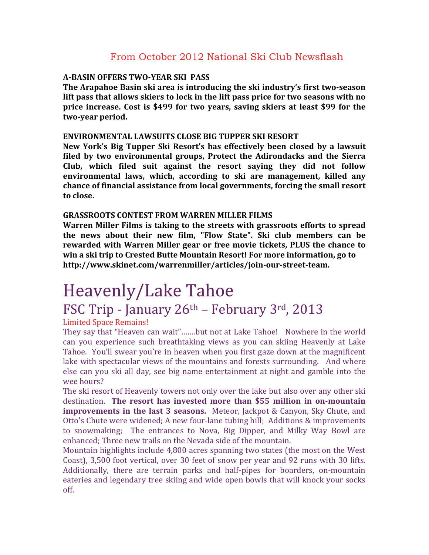### From October 2012 National Ski Club Newsflash

#### **A-BASIN OFFERS TWO-YEAR SKI PASS**

The Arapahoe Basin ski area is introducing the ski industry's first two-season lift pass that allows skiers to lock in the lift pass price for two seasons with no price increase. Cost is \$499 for two years, saving skiers at least \$99 for the two-year period.

#### **ENVIRONMENTAL LAWSUITS CLOSE BIG TUPPER SKI RESORT**

New York's Big Tupper Ski Resort's has effectively been closed by a lawsuit filed by two environmental groups, Protect the Adirondacks and the Sierra **Club, which filed suit against the resort saving they did not follow**  $environmental$  laws, which, according to ski are management, killed any chance of financial assistance from local governments, forcing the small resort to close.

#### **GRASSROOTS CONTEST FROM WARREN MILLER FILMS**

**Warren Miller Films is taking to the streets with grassroots efforts to spread** the news about their new film, "Flow State". Ski club members can be rewarded with Warren Miller gear or free movie tickets, PLUS the chance to **Gabber 1** askit rip to Crested Butte Mountain Resort! For more information, go to http://www.skinet.com/warrenmiller/articles/join-our-street-team.

# Heavenly/Lake Tahoe

## FSC Trip - January  $26<sup>th</sup>$  – February 3rd, 2013

#### Limited Space Remains!

They say that "Heaven can wait".......but not at Lake Tahoe! Nowhere in the world can you experience such breathtaking views as you can skiing Heavenly at Lake Tahoe. You'll swear you're in heaven when you first gaze down at the magnificent lake with spectacular views of the mountains and forests surrounding. And where else can you ski all day, see big name entertainment at night and gamble into the wee hours?

The ski resort of Heavenly towers not only over the lake but also over any other ski destination. The resort has invested more than \$55 million in on-mountain **improvements in the last 3 seasons.** Meteor, Jackpot & Canyon, Sky Chute, and Otto's Chute were widened; A new four-lane tubing hill; Additions & improvements to snowmaking; The entrances to Nova, Big Dipper, and Milky Way Bowl are enhanced: Three new trails on the Nevada side of the mountain.

Mountain highlights include 4,800 acres spanning two states (the most on the West Coast), 3,500 foot vertical, over 30 feet of snow per year and 92 runs with 30 lifts. Additionally, there are terrain parks and half-pipes for boarders, on-mountain eateries and legendary tree skiing and wide open bowls that will knock your socks off.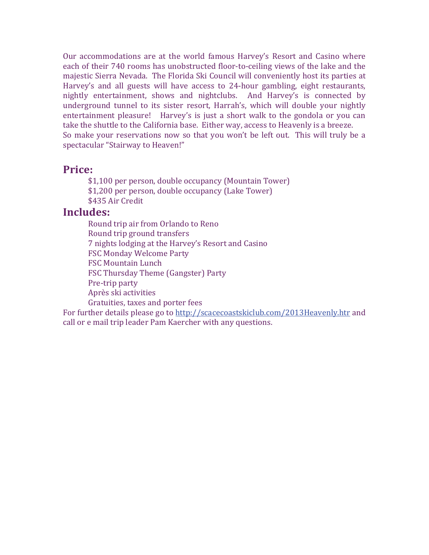Our accommodations are at the world famous Harvey's Resort and Casino where each of their 740 rooms has unobstructed floor-to-ceiling views of the lake and the majestic Sierra Nevada. The Florida Ski Council will conveniently host its parties at Harvey's and all guests will have access to 24-hour gambling, eight restaurants, nightly entertainment, shows and nightclubs. And Harvey's is connected by underground tunnel to its sister resort, Harrah's, which will double your nightly entertainment pleasure! Harvey's is just a short walk to the gondola or you can take the shuttle to the California base. Either way, access to Heavenly is a breeze. So make your reservations now so that you won't be left out. This will truly be a spectacular "Stairway to Heaven!"

#### **Price:**

\$1,100 per person, double occupancy (Mountain Tower) \$1,200 per person, double occupancy (Lake Tower) \$435 Air Credit

### **Includes:**

Round trip air from Orlando to Reno Round trip ground transfers 7 nights lodging at the Harvey's Resort and Casino **FSC Monday Welcome Party FSC Mountain Lunch** FSC Thursday Theme (Gangster) Party Pre-trip party Après ski activities Gratuities, taxes and porter fees

For further details please go to http://scacecoastskiclub.com/2013Heavenly.htr and call or e mail trip leader Pam Kaercher with any questions.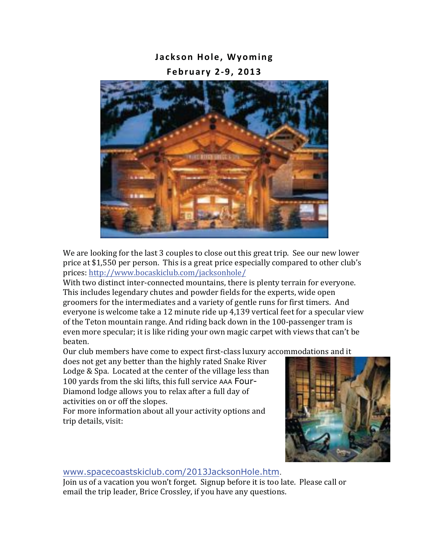## Jackson Hole, Wyoming **February 2-9, 2013**



We are looking for the last 3 couples to close out this great trip. See our new lower price at \$1,550 per person. This is a great price especially compared to other club's prices: http://www.bocaskiclub.com/jacksonhole/

With two distinct inter-connected mountains, there is plenty terrain for everyone. This includes legendary chutes and powder fields for the experts, wide open groomers for the intermediates and a variety of gentle runs for first timers. And everyone is welcome take a 12 minute ride up 4,139 vertical feet for a specular view of the Teton mountain range. And riding back down in the 100-passenger tram is even more specular; it is like riding your own magic carpet with views that can't be beaten.

Our club members have come to expect first-class luxury accommodations and it

does not get any better than the highly rated Snake River Lodge & Spa. Located at the center of the village less than 100 yards from the ski lifts, this full service AAA Four-Diamond lodge allows you to relax after a full day of activities on or off the slopes.

For more information about all your activity options and trip details, visit:



#### www.spacecoastskiclub.com/2013JacksonHole.htm.

Join us of a vacation you won't forget. Signup before it is too late. Please call or email the trip leader, Brice Crossley, if you have any questions.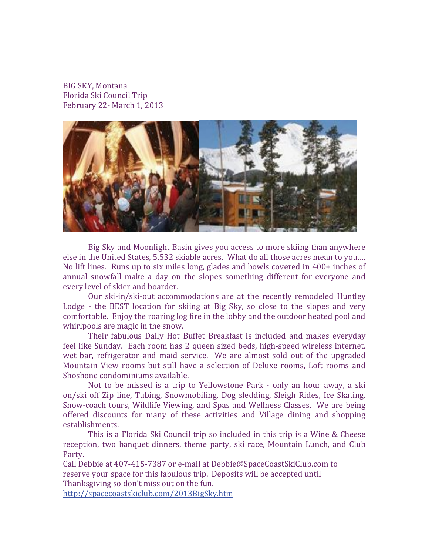**BIG SKY, Montana** Florida Ski Council Trip February 22- March 1, 2013



Big Sky and Moonlight Basin gives you access to more skiing than anywhere else in the United States, 5,532 skiable acres. What do all those acres mean to you.... No lift lines. Runs up to six miles long, glades and bowls covered in 400+ inches of annual snowfall make a day on the slopes something different for everyone and every level of skier and boarder.

Our ski-in/ski-out accommodations are at the recently remodeled Huntley Lodge - the BEST location for skiing at Big Sky, so close to the slopes and very comfortable. Enjoy the roaring log fire in the lobby and the outdoor heated pool and whirlpools are magic in the snow.

Their fabulous Daily Hot Buffet Breakfast is included and makes everyday feel like Sunday. Each room has 2 queen sized beds, high-speed wireless internet, wet bar, refrigerator and maid service. We are almost sold out of the upgraded Mountain View rooms but still have a selection of Deluxe rooms, Loft rooms and Shoshone condominiums available.

Not to be missed is a trip to Yellowstone Park - only an hour away, a ski on/ski off Zip line, Tubing, Snowmobiling, Dog sledding, Sleigh Rides, Ice Skating, Snow-coach tours, Wildlife Viewing, and Spas and Wellness Classes. We are being offered discounts for many of these activities and Village dining and shopping establishments.

This is a Florida Ski Council trip so included in this trip is a Wine & Cheese reception, two banquet dinners, theme party, ski race, Mountain Lunch, and Club Party.

Call Debbie at 407-415-7387 or e-mail at Debbie@SpaceCoastSkiClub.com to reserve your space for this fabulous trip. Deposits will be accepted until Thanksgiving so don't miss out on the fun.

http://spacecoastskiclub.com/2013BigSky.htm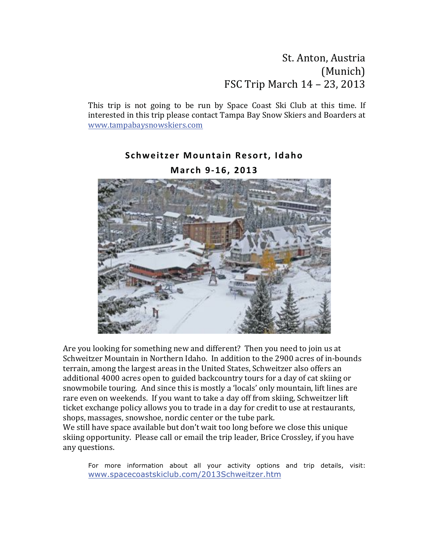## St. Anton, Austria (Munich) FSC Trip March 14 - 23, 2013

This trip is not going to be run by Space Coast Ski Club at this time. If interested in this trip please contact Tampa Bay Snow Skiers and Boarders at www.tampabaysnowskiers.com

## Schweitzer Mountain Resort, Idaho



March 9-16, 2013

Are you looking for something new and different? Then you need to join us at Schweitzer Mountain in Northern Idaho. In addition to the 2900 acres of in-bounds terrain, among the largest areas in the United States, Schweitzer also offers an additional 4000 acres open to guided backcountry tours for a day of cat skiing or snowmobile touring. And since this is mostly a 'locals' only mountain, lift lines are rare even on weekends. If you want to take a day off from skiing, Schweitzer lift ticket exchange policy allows you to trade in a day for credit to use at restaurants, shops, massages, snowshoe, nordic center or the tube park.

We still have space available but don't wait too long before we close this unique skiing opportunity. Please call or email the trip leader, Brice Crossley, if you have any questions.

For more information about all your activity options and trip details, visit: www.spacecoastskiclub.com/2013Schweitzer.htm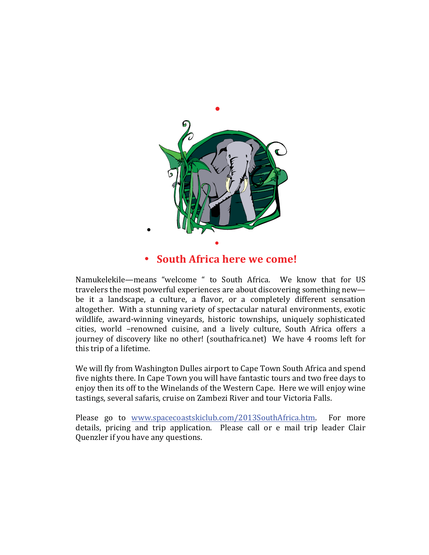

#### **South Africa here we come!**  $\bullet$

Namukelekile-means "welcome " to South Africa. We know that for US travelers the most powerful experiences are about discovering something new be it a landscape, a culture, a flavor, or a completely different sensation altogether. With a stunning variety of spectacular natural environments, exotic wildlife, award-winning vineyards, historic townships, uniquely sophisticated cities, world -renowned cuisine, and a lively culture, South Africa offers a journey of discovery like no other! (southafrica.net) We have 4 rooms left for this trip of a lifetime.

We will fly from Washington Dulles airport to Cape Town South Africa and spend five nights there. In Cape Town you will have fantastic tours and two free days to enjoy then its off to the Winelands of the Western Cape. Here we will enjoy wine tastings, several safaris, cruise on Zambezi River and tour Victoria Falls.

Please go to www.spacecoastskiclub.com/2013SouthAfrica.htm. For more details, pricing and trip application. Please call or e mail trip leader Clair Quenzler if you have any questions.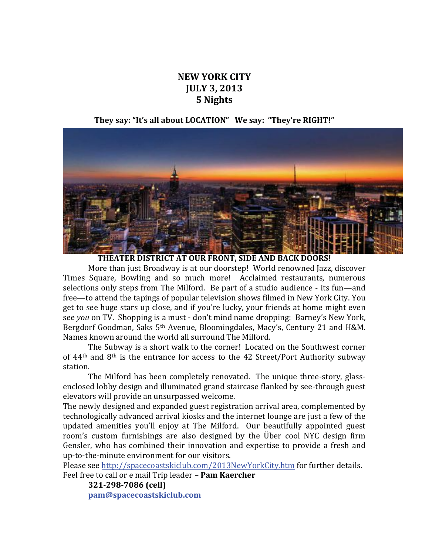### **NEW YORK CITY JULY 3, 2013** 5 Nights

#### They say: "It's all about LOCATION" We say: "They're RIGHT!"



THEATER DISTRICT AT OUR FRONT, SIDE AND BACK DOORS!

More than just Broadway is at our doorstep! World renowned Jazz, discover Times Square, Bowling and so much more! Acclaimed restaurants, numerous selections only steps from The Milford. Be part of a studio audience - its fun—and free—to attend the tapings of popular television shows filmed in New York City. You get to see huge stars up close, and if you're lucky, your friends at home might even see you on TV. Shopping is a must - don't mind name dropping: Barney's New York, Bergdorf Goodman, Saks 5<sup>th</sup> Avenue, Bloomingdales, Macy's, Century 21 and H&M. Names known around the world all surround The Milford.

The Subway is a short walk to the corner! Located on the Southwest corner of  $44<sup>th</sup>$  and  $8<sup>th</sup>$  is the entrance for access to the 42 Street/Port Authority subway station.

The Milford has been completely renovated. The unique three-story, glassenclosed lobby design and illuminated grand staircase flanked by see-through guest elevators will provide an unsurpassed welcome.

The newly designed and expanded guest registration arrival area, complemented by technologically advanced arrival kiosks and the internet lounge are just a few of the updated amenities you'll enjoy at The Milford. Our beautifully appointed guest room's custom furnishings are also designed by the Über cool NYC design firm Gensler, who has combined their innovation and expertise to provide a fresh and up-to-the-minute environment for our visitors.

Please see http://spacecoastskiclub.com/2013NewYorkCity.htm for further details. Feel free to call or e mail Trip leader - Pam Kaercher

321-298-7086 (cell) pam@spacecoastskiclub.com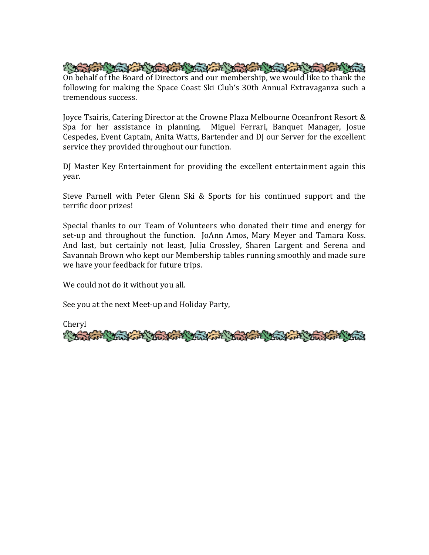A STANDARD STANDARD STANDARD STANDARD On behalf of the Board of Directors and our membership, we would like to thank the following for making the Space Coast Ski Club's 30th Annual Extravaganza such a tremendous success.

Joyce Tsairis, Catering Director at the Crowne Plaza Melbourne Oceanfront Resort & Spa for her assistance in planning. Miguel Ferrari, Banquet Manager, Josue Cespedes, Event Captain, Anita Watts, Bartender and DJ our Server for the excellent service they provided throughout our function.

DJ Master Key Entertainment for providing the excellent entertainment again this year.

Steve Parnell with Peter Glenn Ski & Sports for his continued support and the terrific door prizes!

Special thanks to our Team of Volunteers who donated their time and energy for set-up and throughout the function. JoAnn Amos, Mary Meyer and Tamara Koss. And last, but certainly not least, Julia Crossley, Sharen Largent and Serena and Savannah Brown who kept our Membership tables running smoothly and made sure we have your feedback for future trips.

We could not do it without you all.

See you at the next Meet-up and Holiday Party,

Cheryl

STAR ROOM AND THE TOWN THE CONTRACT OF THE CONTRACT OF THE CONTRACT OF THE CONTRACT OF THE CONTRACT OF THE CONTRACT OF THE CONTRACT OF THE CONTRACT OF THE CONTRACT OF THE CONTRACT OF THE CONTRACT OF THE CONTRACT OF THE CON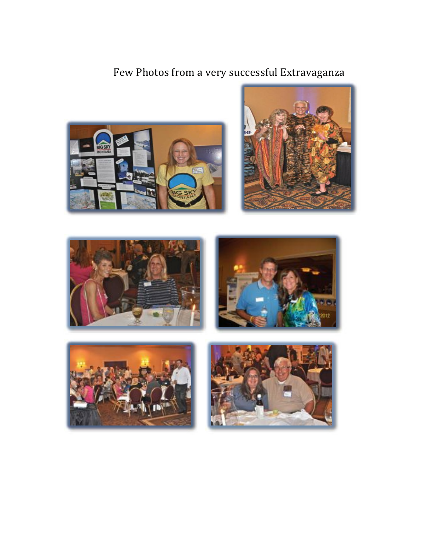## Few Photos from a very successful Extravaganza







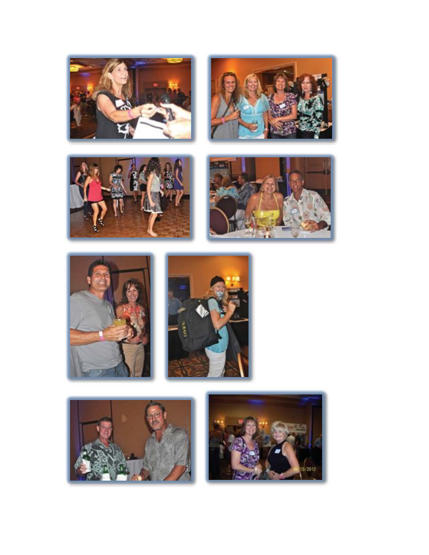